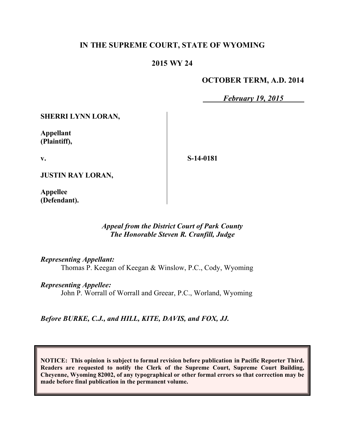### **IN THE SUPREME COURT, STATE OF WYOMING**

### **2015 WY 24**

#### **OCTOBER TERM, A.D. 2014**

*February 19, 2015*

**SHERRI LYNN LORAN,**

**Appellant (Plaintiff),**

**v.**

**S-14-0181**

**JUSTIN RAY LORAN,**

**Appellee (Defendant).**

#### *Appeal from the District Court of Park County The Honorable Steven R. Cranfill, Judge*

*Representing Appellant:*

Thomas P. Keegan of Keegan & Winslow, P.C., Cody, Wyoming

*Representing Appellee:*

John P. Worrall of Worrall and Greear, P.C., Worland, Wyoming

*Before BURKE, C.J., and HILL, KITE, DAVIS, and FOX, JJ.*

**NOTICE: This opinion is subject to formal revision before publication in Pacific Reporter Third. Readers are requested to notify the Clerk of the Supreme Court, Supreme Court Building, Cheyenne, Wyoming 82002, of any typographical or other formal errors so that correction may be made before final publication in the permanent volume.**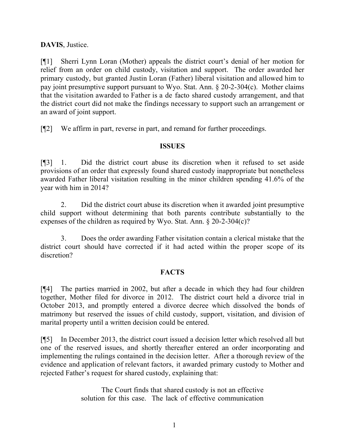## **DAVIS**, Justice.

[¶1] Sherri Lynn Loran (Mother) appeals the district court's denial of her motion for relief from an order on child custody, visitation and support. The order awarded her primary custody, but granted Justin Loran (Father) liberal visitation and allowed him to pay joint presumptive support pursuant to Wyo. Stat. Ann. § 20-2-304(c). Mother claims that the visitation awarded to Father is a de facto shared custody arrangement, and that the district court did not make the findings necessary to support such an arrangement or an award of joint support.

[¶2] We affirm in part, reverse in part, and remand for further proceedings.

#### **ISSUES**

[¶3] 1. Did the district court abuse its discretion when it refused to set aside provisions of an order that expressly found shared custody inappropriate but nonetheless awarded Father liberal visitation resulting in the minor children spending 41.6% of the year with him in 2014?

2. Did the district court abuse its discretion when it awarded joint presumptive child support without determining that both parents contribute substantially to the expenses of the children as required by Wyo. Stat. Ann. § 20-2-304(c)?

3. Does the order awarding Father visitation contain a clerical mistake that the district court should have corrected if it had acted within the proper scope of its discretion?

#### **FACTS**

[¶4] The parties married in 2002, but after a decade in which they had four children together, Mother filed for divorce in 2012. The district court held a divorce trial in October 2013, and promptly entered a divorce decree which dissolved the bonds of matrimony but reserved the issues of child custody, support, visitation, and division of marital property until a written decision could be entered.

[¶5] In December 2013, the district court issued a decision letter which resolved all but one of the reserved issues, and shortly thereafter entered an order incorporating and implementing the rulings contained in the decision letter. After a thorough review of the evidence and application of relevant factors, it awarded primary custody to Mother and rejected Father's request for shared custody, explaining that:

> The Court finds that shared custody is not an effective solution for this case. The lack of effective communication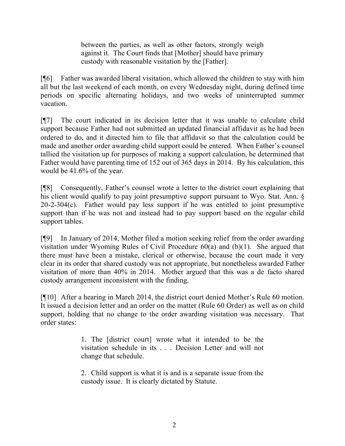between the parties, as well as other factors, strongly weigh against it. The Court finds that [Mother] should have primary custody with reasonable visitation by the [Father].

[¶6] Father was awarded liberal visitation, which allowed the children to stay with him all but the last weekend of each month, on every Wednesday night, during defined time periods on specific alternating holidays, and two weeks of uninterrupted summer vacation.

[¶7] The court indicated in its decision letter that it was unable to calculate child support because Father had not submitted an updated financial affidavit as he had been ordered to do, and it directed him to file that affidavit so that the calculation could be made and another order awarding child support could be entered. When Father's counsel tallied the visitation up for purposes of making a support calculation, he determined that Father would have parenting time of 152 out of 365 days in 2014. By his calculation, this would be 41.6% of the year.

[¶8] Consequently, Father's counsel wrote a letter to the district court explaining that his client would qualify to pay joint presumptive support pursuant to Wyo. Stat. Ann.  $\delta$  $20-2-304(c)$ . Father would pay less support if he was entitled to joint presumptive support than if he was not and instead had to pay support based on the regular child support tables.

[¶9] In January of 2014, Mother filed a motion seeking relief from the order awarding visitation under Wyoming Rules of Civil Procedure 60(a) and (b)(1). She argued that there must have been a mistake, clerical or otherwise, because the court made it very clear in its order that shared custody was not appropriate, but nonetheless awarded Father visitation of more than 40% in 2014. Mother argued that this was a de facto shared custody arrangement inconsistent with the finding.

[¶10] After a hearing in March 2014, the district court denied Mother's Rule 60 motion. It issued a decision letter and an order on the matter (Rule 60 Order) as well as on child support, holding that no change to the order awarding visitation was necessary. That order states:

> 1. The [district court] wrote what it intended to be the visitation schedule in its . . . Decision Letter and will not change that schedule.

> 2. Child support is what it is and is a separate issue from the custody issue. It is clearly dictated by Statute.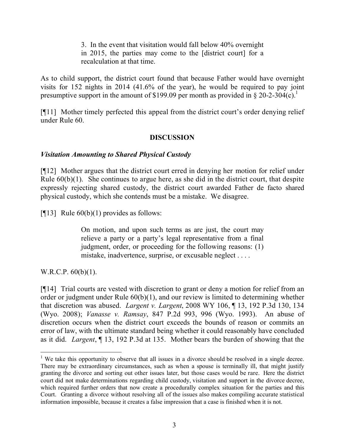3. In the event that visitation would fall below 40% overnight in 2015, the parties may come to the [district court] for a recalculation at that time.

As to child support, the district court found that because Father would have overnight visits for 152 nights in 2014 (41.6% of the year), he would be required to pay joint presumptive support in the amount of \$199.09 per month as provided in § 20-2-304 $(c)$ .<sup>1</sup>

[¶11] Mother timely perfected this appeal from the district court's order denying relief under Rule 60.

#### **DISCUSSION**

#### *Visitation Amounting to Shared Physical Custody*

[¶12] Mother argues that the district court erred in denying her motion for relief under Rule  $60(b)(1)$ . She continues to argue here, as she did in the district court, that despite expressly rejecting shared custody, the district court awarded Father de facto shared physical custody, which she contends must be a mistake. We disagree.

[ $[13]$ ] Rule 60(b)(1) provides as follows:

On motion, and upon such terms as are just, the court may relieve a party or a party's legal representative from a final judgment, order, or proceeding for the following reasons: (1) mistake, inadvertence, surprise, or excusable neglect . . . .

W.R.C.P. 60(b)(1).

 $\overline{a}$ 

[¶14] Trial courts are vested with discretion to grant or deny a motion for relief from an order or judgment under Rule 60(b)(1), and our review is limited to determining whether that discretion was abused. *Largent v. Largent*, 2008 WY 106, ¶ 13, 192 P.3d 130, 134 (Wyo. 2008); *Vanasse v. Ramsay*, 847 P.2d 993, 996 (Wyo. 1993). An abuse of discretion occurs when the district court exceeds the bounds of reason or commits an error of law, with the ultimate standard being whether it could reasonably have concluded as it did. *Largent*, ¶ 13, 192 P.3d at 135. Mother bears the burden of showing that the

<sup>&</sup>lt;sup>1</sup> We take this opportunity to observe that all issues in a divorce should be resolved in a single decree. There may be extraordinary circumstances, such as when a spouse is terminally ill, that might justify granting the divorce and sorting out other issues later, but those cases would be rare. Here the district court did not make determinations regarding child custody, visitation and support in the divorce decree, which required further orders that now create a procedurally complex situation for the parties and this Court. Granting a divorce without resolving all of the issues also makes compiling accurate statistical information impossible, because it creates a false impression that a case is finished when it is not.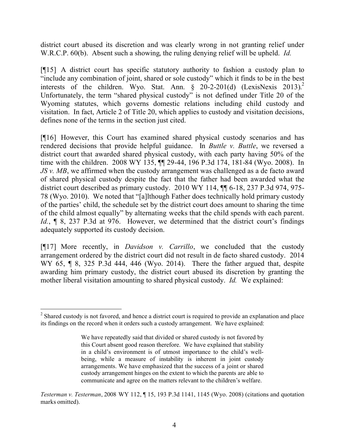district court abused its discretion and was clearly wrong in not granting relief under W.R.C.P. 60(b). Absent such a showing, the ruling denying relief will be upheld. *Id.*

[¶15] A district court has specific statutory authority to fashion a custody plan to "include any combination of joint, shared or sole custody" which it finds to be in the best interests of the children. Wyo. Stat. Ann.  $\S$  20-2-201(d) (LexisNexis 2013).<sup>2</sup> Unfortunately, the term "shared physical custody" is not defined under Title 20 of the Wyoming statutes, which governs domestic relations including child custody and visitation. In fact, Article 2 of Title 20, which applies to custody and visitation decisions, defines none of the terms in the section just cited.

[¶16] However, this Court has examined shared physical custody scenarios and has rendered decisions that provide helpful guidance. In *Buttle v. Buttle*, we reversed a district court that awarded shared physical custody, with each party having 50% of the time with the children. 2008 WY 135, ¶¶ 29-44, 196 P.3d 174, 181-84 (Wyo. 2008). In *JS v. MB*, we affirmed when the custody arrangement was challenged as a de facto award of shared physical custody despite the fact that the father had been awarded what the district court described as primary custody. 2010 WY 114, ¶¶ 6-18, 237 P.3d 974, 975- 78 (Wyo. 2010). We noted that "[a]lthough Father does technically hold primary custody of the parties' child, the schedule set by the district court does amount to sharing the time of the child almost equally" by alternating weeks that the child spends with each parent. Id.,  $\parallel$  8, 237 P.3d at 976. However, we determined that the district court's findings adequately supported its custody decision.

[¶17] More recently, in *Davidson v. Carrillo*, we concluded that the custody arrangement ordered by the district court did not result in de facto shared custody. 2014 WY 65, ¶ 8, 325 P.3d 444, 446 (Wyo. 2014). There the father argued that, despite awarding him primary custody, the district court abused its discretion by granting the mother liberal visitation amounting to shared physical custody. *Id.* We explained:

 $2^2$  Shared custody is not favored, and hence a district court is required to provide an explanation and place its findings on the record when it orders such a custody arrangement. We have explained:

We have repeatedly said that divided or shared custody is not favored by this Court absent good reason therefore. We have explained that stability in a child's environment is of utmost importance to the child's wellbeing, while a measure of instability is inherent in joint custody arrangements. We have emphasized that the success of a joint or shared custody arrangement hinges on the extent to which the parents are able to communicate and agree on the matters relevant to the children's welfare.

*Testerman v. Testerman*, 2008 WY 112, ¶ 15, 193 P.3d 1141, 1145 (Wyo. 2008) (citations and quotation marks omitted).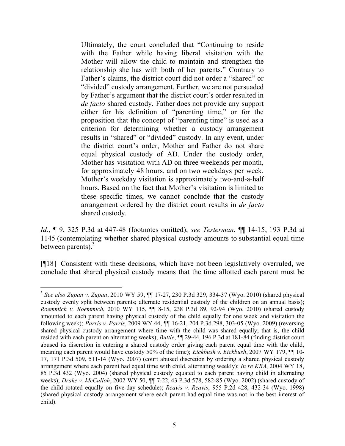Ultimately, the court concluded that "Continuing to reside with the Father while having liberal visitation with the Mother will allow the child to maintain and strengthen the relationship she has with both of her parents." Contrary to Father's claims, the district court did not order a "shared" or "divided" custody arrangement. Further, we are not persuaded by Father's argument that the district court's order resulted in *de facto* shared custody. Father does not provide any support either for his definition of "parenting time," or for the proposition that the concept of "parenting time" is used as a criterion for determining whether a custody arrangement results in "shared" or "divided" custody. In any event, under the district court's order, Mother and Father do not share equal physical custody of AD. Under the custody order, Mother has visitation with AD on three weekends per month, for approximately 48 hours, and on two weekdays per week. Mother's weekday visitation is approximately two-and-a-half hours. Based on the fact that Mother's visitation is limited to these specific times, we cannot conclude that the custody arrangement ordered by the district court results in *de facto* shared custody.

*Id.*, ¶ 9, 325 P.3d at 447-48 (footnotes omitted); *see Testerman*, ¶¶ 14-15, 193 P.3d at 1145 (contemplating whether shared physical custody amounts to substantial equal time between parents). $3$ 

[¶18] Consistent with these decisions, which have not been legislatively overruled, we conclude that shared physical custody means that the time allotted each parent must be

<sup>3</sup> *See also Zupan v. Zupan*, 2010 WY 59, ¶¶ 17-27, 230 P.3d 329, 334-37 (Wyo. 2010) (shared physical custody evenly split between parents; alternate residential custody of the children on an annual basis); *Roemmich v. Roemmich*, 2010 WY 115, ¶¶ 8-15, 238 P.3d 89, 92-94 (Wyo. 2010) (shared custody amounted to each parent having physical custody of the child equally for one week and visitation the following week); *Parris v. Parris*, 2009 WY 44, ¶¶ 16-21, 204 P.3d 298, 303-05 (Wyo. 2009) (reversing shared physical custody arrangement where time with the child was shared equally; that is, the child resided with each parent on alternating weeks); *Buttle*, ¶¶ 29-44, 196 P.3d at 181-84 (finding district court abused its discretion in entering a shared custody order giving each parent equal time with the child, meaning each parent would have custody 50% of the time); *Eickbush v. Eickbush*, 2007 WY 179, ¶¶ 10- 17, 171 P.3d 509, 511-14 (Wyo. 2007) (court abused discretion by ordering a shared physical custody arrangement where each parent had equal time with child, alternating weekly); *In re KRA*, 2004 WY 18, 85 P.3d 432 (Wyo. 2004) (shared physical custody equated to each parent having child in alternating weeks); *Drake v. McCulloh*, 2002 WY 50, ¶¶ 7-22, 43 P.3d 578, 582-85 (Wyo. 2002) (shared custody of the child rotated equally on five-day schedule); *Reavis v. Reavis*, 955 P.2d 428, 432-34 (Wyo. 1998) (shared physical custody arrangement where each parent had equal time was not in the best interest of child).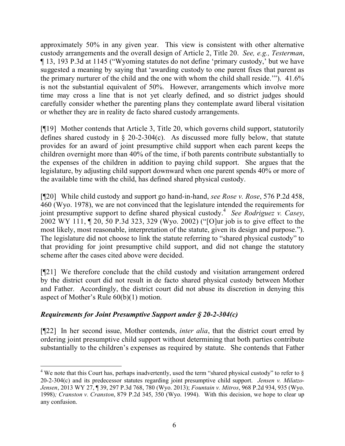approximately 50% in any given year. This view is consistent with other alternative custody arrangements and the overall design of Article 2, Title 20. *See, e.g., Testerman*, ¶ 13, 193 P.3d at 1145 ("Wyoming statutes do not define 'primary custody,' but we have suggested a meaning by saying that 'awarding custody to one parent fixes that parent as the primary nurturer of the child and the one with whom the child shall reside.'"). 41.6% is not the substantial equivalent of 50%. However, arrangements which involve more time may cross a line that is not yet clearly defined, and so district judges should carefully consider whether the parenting plans they contemplate award liberal visitation or whether they are in reality de facto shared custody arrangements.

[¶19] Mother contends that Article 3, Title 20, which governs child support, statutorily defines shared custody in  $\S$  20-2-304(c). As discussed more fully below, that statute provides for an award of joint presumptive child support when each parent keeps the children overnight more than 40% of the time, if both parents contribute substantially to the expenses of the children in addition to paying child support. She argues that the legislature, by adjusting child support downward when one parent spends 40% or more of the available time with the child, has defined shared physical custody.

[¶20] While child custody and support go hand-in-hand, *see Rose v. Rose*, 576 P.2d 458, 460 (Wyo. 1978), we are not convinced that the legislature intended the requirements for joint presumptive support to define shared physical custody.<sup>4</sup> See Rodriguez v. Casey, 2002 WY 111, ¶ 20, 50 P.3d 323, 329 (Wyo. 2002) ("[O]ur job is to give effect to the most likely, most reasonable, interpretation of the statute, given its design and purpose."). The legislature did not choose to link the statute referring to "shared physical custody" to that providing for joint presumptive child support, and did not change the statutory scheme after the cases cited above were decided.

[¶21] We therefore conclude that the child custody and visitation arrangement ordered by the district court did not result in de facto shared physical custody between Mother and Father. Accordingly, the district court did not abuse its discretion in denying this aspect of Mother's Rule 60(b)(1) motion.

# *Requirements for Joint Presumptive Support under § 20-2-304(c)*

[¶22] In her second issue, Mother contends, *inter alia*, that the district court erred by ordering joint presumptive child support without determining that both parties contribute substantially to the children's expenses as required by statute. She contends that Father

 <sup>4</sup> We note that this Court has, perhaps inadvertently, used the term "shared physical custody" to refer to  $\delta$ 20-2-304(c) and its predecessor statutes regarding joint presumptive child support. *Jensen v. Milatzo-Jensen*, 2013 WY 27, ¶ 39, 297 P.3d 768, 780 (Wyo. 2013); *Fountain v. Mitros*, 968 P.2d 934, 935 (Wyo. 1998)*; Cranston v. Cranston*, 879 P.2d 345, 350 (Wyo. 1994). With this decision, we hope to clear up any confusion.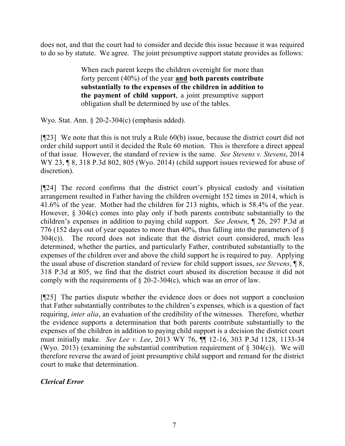does not, and that the court had to consider and decide this issue because it was required to do so by statute. We agree. The joint presumptive support statute provides as follows:

> When each parent keeps the children overnight for more than forty percent (40%) of the year **and both parents contribute substantially to the expenses of the children in addition to the payment of child support**, a joint presumptive support obligation shall be determined by use of the tables.

Wyo. Stat. Ann. § 20-2-304(c) (emphasis added).

[¶23] We note that this is not truly a Rule 60(b) issue, because the district court did not order child support until it decided the Rule 60 motion. This is therefore a direct appeal of that issue. However, the standard of review is the same. *See Stevens v. Stevens*, 2014 WY 23, ¶ 8, 318 P.3d 802, 805 (Wyo. 2014) (child support issues reviewed for abuse of discretion).

[¶24] The record confirms that the district court's physical custody and visitation arrangement resulted in Father having the children overnight 152 times in 2014, which is 41.6% of the year. Mother had the children for 213 nights, which is 58.4% of the year. However, § 304(c) comes into play only if both parents contribute substantially to the children's expenses in addition to paying child support. *See Jensen*, ¶ 26, 297 P.3d at 776 (152 days out of year equates to more than 40%, thus falling into the parameters of § 304(c)). The record does not indicate that the district court considered, much less determined, whether the parties, and particularly Father, contributed substantially to the expenses of the children over and above the child support he is required to pay. Applying the usual abuse of discretion standard of review for child support issues, *see Stevens*, ¶ 8, 318 P.3d at 805, we find that the district court abused its discretion because it did not comply with the requirements of  $\S$  20-2-304(c), which was an error of law.

[¶25] The parties dispute whether the evidence does or does not support a conclusion that Father substantially contributes to the children's expenses, which is a question of fact requiring, *inter alia*, an evaluation of the credibility of the witnesses. Therefore, whether the evidence supports a determination that both parents contribute substantially to the expenses of the children in addition to paying child support is a decision the district court must initially make. *See Lee v. Lee*, 2013 WY 76, ¶¶ 12-16, 303 P.3d 1128, 1133-34 (Wyo. 2013) (examining the substantial contribution requirement of  $\S$  304(c)). We will therefore reverse the award of joint presumptive child support and remand for the district court to make that determination.

# *Clerical Error*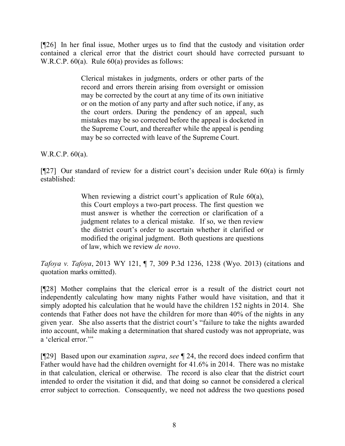[¶26] In her final issue, Mother urges us to find that the custody and visitation order contained a clerical error that the district court should have corrected pursuant to W.R.C.P. 60(a). Rule 60(a) provides as follows:

> Clerical mistakes in judgments, orders or other parts of the record and errors therein arising from oversight or omission may be corrected by the court at any time of its own initiative or on the motion of any party and after such notice, if any, as the court orders. During the pendency of an appeal, such mistakes may be so corrected before the appeal is docketed in the Supreme Court, and thereafter while the appeal is pending may be so corrected with leave of the Supreme Court.

W.R.C.P. 60(a).

 $[927]$  Our standard of review for a district court's decision under Rule 60(a) is firmly established:

> When reviewing a district court's application of Rule 60(a), this Court employs a two-part process. The first question we must answer is whether the correction or clarification of a judgment relates to a clerical mistake. If so, we then review the district court's order to ascertain whether it clarified or modified the original judgment. Both questions are questions of law, which we review *de novo*.

*Tafoya v. Tafoya*, 2013 WY 121, ¶ 7, 309 P.3d 1236, 1238 (Wyo. 2013) (citations and quotation marks omitted).

[¶28] Mother complains that the clerical error is a result of the district court not independently calculating how many nights Father would have visitation, and that it simply adopted his calculation that he would have the children 152 nights in 2014. She contends that Father does not have the children for more than 40% of the nights in any given year. She also asserts that the district court's "failure to take the nights awarded into account, while making a determination that shared custody was not appropriate, was a 'clerical error."

[¶29] Based upon our examination *supra*, *see* ¶ 24, the record does indeed confirm that Father would have had the children overnight for 41.6% in 2014. There was no mistake in that calculation, clerical or otherwise. The record is also clear that the district court intended to order the visitation it did, and that doing so cannot be considered a clerical error subject to correction. Consequently, we need not address the two questions posed